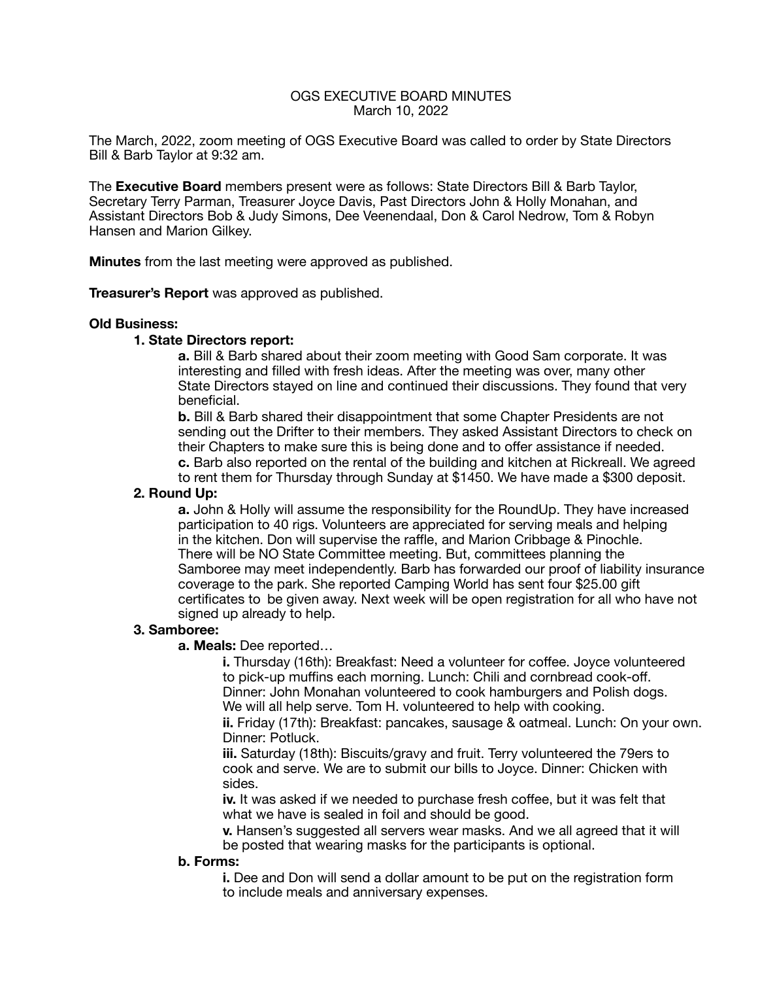### OGS EXECUTIVE BOARD MINUTES March 10, 2022

The March, 2022, zoom meeting of OGS Executive Board was called to order by State Directors Bill & Barb Taylor at 9:32 am.

The **Executive Board** members present were as follows: State Directors Bill & Barb Taylor, Secretary Terry Parman, Treasurer Joyce Davis, Past Directors John & Holly Monahan, and Assistant Directors Bob & Judy Simons, Dee Veenendaal, Don & Carol Nedrow, Tom & Robyn Hansen and Marion Gilkey.

**Minutes** from the last meeting were approved as published.

**Treasurer's Report** was approved as published.

#### **Old Business:**

#### **1. State Directors report:**

 **a.** Bill & Barb shared about their zoom meeting with Good Sam corporate. It was interesting and filled with fresh ideas. After the meeting was over, many other State Directors stayed on line and continued their discussions. They found that very beneficial.

 **b.** Bill & Barb shared their disappointment that some Chapter Presidents are not sending out the Drifter to their members. They asked Assistant Directors to check on their Chapters to make sure this is being done and to offer assistance if needed. **c.** Barb also reported on the rental of the building and kitchen at Rickreall. We agreed to rent them for Thursday through Sunday at \$1450. We have made a \$300 deposit.

### **2. Round Up:**

**a.** John & Holly will assume the responsibility for the RoundUp. They have increased participation to 40 rigs. Volunteers are appreciated for serving meals and helping in the kitchen. Don will supervise the raffle, and Marion Cribbage & Pinochle. There will be NO State Committee meeting. But, committees planning the Samboree may meet independently. Barb has forwarded our proof of liability insurance coverage to the park. She reported Camping World has sent four \$25.00 gift certificates to be given away. Next week will be open registration for all who have not signed up already to help.

### **3. Samboree:**

**a. Meals:** Dee reported…

 **i.** Thursday (16th): Breakfast: Need a volunteer for coffee. Joyce volunteered to pick-up muffins each morning. Lunch: Chili and cornbread cook-off. Dinner: John Monahan volunteered to cook hamburgers and Polish dogs. We will all help serve. Tom H. volunteered to help with cooking.

 **ii.** Friday (17th): Breakfast: pancakes, sausage & oatmeal. Lunch: On your own. Dinner: Potluck.

 **iii.** Saturday (18th): Biscuits/gravy and fruit. Terry volunteered the 79ers to cook and serve. We are to submit our bills to Joyce. Dinner: Chicken with sides.

 **iv.** It was asked if we needed to purchase fresh coffee, but it was felt that what we have is sealed in foil and should be good.

 **v.** Hansen's suggested all servers wear masks. And we all agreed that it will be posted that wearing masks for the participants is optional.

### **b. Forms:**

**i.** Dee and Don will send a dollar amount to be put on the registration form to include meals and anniversary expenses.